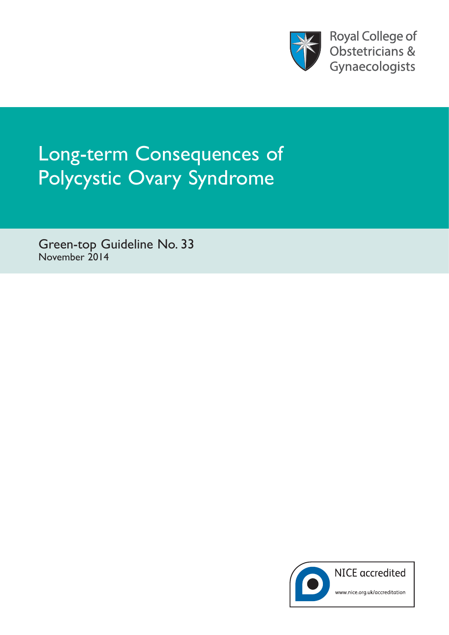

**Royal College of** Obstetricians & Gynaecologists

# Long-term Consequences of Polycystic Ovary Syndrome

Green-top Guideline No. 33 November 2014

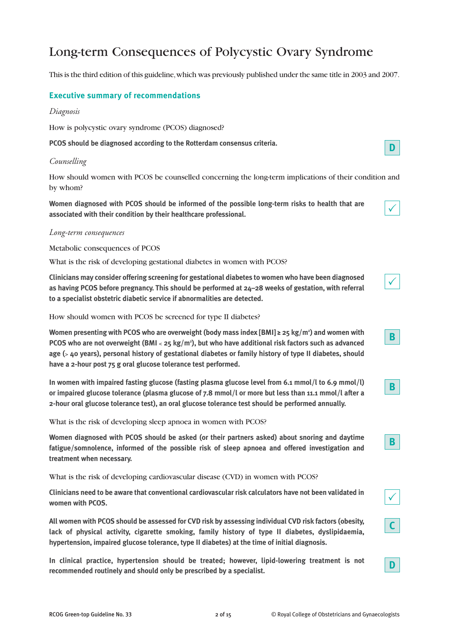# Long-term Consequences of Polycystic Ovary Syndrome

This is the third edition of this guideline, which was previously published under the same title in 2003 and 2007.

# **Executive summary of recommendations**

#### *Diagnosis*

How is polycystic ovary syndrome (PCOS) diagnosed?

**PCOS should be diagnosed according to the Rotterdam consensus criteria.**

#### *Counselling*

How should women with PCOS be counselled concerning the long-term implications of their condition and by whom?

**Women diagnosed with PCOS should be informed of the possible long-term risks to health that are associated with their condition by their healthcare professional.**

| ٧ |
|---|
|---|

 $\checkmark$ 

**D**

#### *Long-term consequences*

Metabolic consequences of PCOS

What is the risk of developing gestational diabetes in women with PCOS?

**Clinicians may consider offering screening for gestational diabetes to women who have been diagnosed as having PCOS before pregnancy. This should be performed at 24–28 weeks of gestation, with referral to a specialist obstetric diabetic service if abnormalities are detected.**

How should women with PCOS be screened for type II diabetes?

**Women presenting with PCOS who are overweight (body mass index [BMI] ≥ 25 kg/m2 ) and women with PCOS who are not overweight (BMI** < **25 kg/m2 ), but who have additional risk factors such as advanced age (**> **40 years), personal history of gestational diabetes or family history of type II diabetes, should have a 2-hour post 75 g oral glucose tolerance test performed.**

**In women with impaired fasting glucose (fasting plasma glucose level from 6.1 mmol/l to 6.9 mmol/l) or impaired glucose tolerance (plasma glucose of 7.8 mmol/l or more but less than 11.1 mmol/l after a 2-hour oral glucose tolerance test), an oral glucose tolerance test should be performed annually.**

What is the risk of developing sleep apnoea in women with PCOS?

**Women diagnosed with PCOS should be asked (or their partners asked) about snoring and daytime fatigue/somnolence, informed of the possible risk of sleep apnoea and offered investigation and treatment when necessary.**

What is the risk of developing cardiovascular disease (CVD) in women with PCOS?

**Clinicians need to be aware that conventional cardiovascular risk calculators have not been validated in women with PCOS.**

**All women with PCOS should be assessed for CVD risk by assessing individual CVD risk factors (obesity, lack of physical activity, cigarette smoking, family history of type II diabetes, dyslipidaemia, hypertension, impaired glucose tolerance, type II diabetes) at the time of initial diagnosis.**

**In clinical practice, hypertension should be treated; however, lipid-lowering treatment is not recommended routinely and should only be prescribed by a specialist.**



**B**

|--|

| ł<br>٧ |  |
|--------|--|

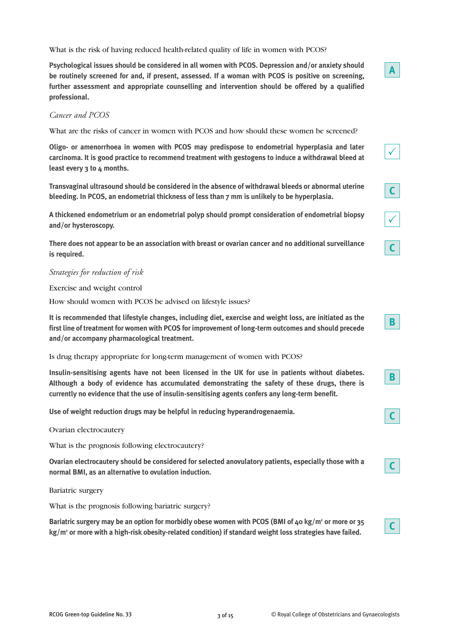What is the risk of having reduced health-related quality of life in women with PCOS?

**Psychological issues should be considered in all women with PCOS. Depression and/or anxiety should be routinely screened for and, if present, assessed. If a woman with PCOS is positive on screening, further assessment and appropriate counselling and intervention should be offered by a qualified professional.**

#### *Cancer and PCOS*

What are the risks of cancer in women with PCOS and how should these women be screened?

**Oligo- or amenorrhoea in women with PCOS may predispose to endometrial hyperplasia and later carcinoma. It is good practice to recommend treatment with gestogens to induce a withdrawal bleed at least every 3 to 4 months.**

**Transvaginal ultrasound should be considered in the absence of withdrawal bleeds or abnormal uterine bleeding. In PCOS, an endometrial thickness of less than 7 mm is unlikely to be hyperplasia.**

**A thickened endometrium or an endometrial polyp should prompt consideration of endometrial biopsy and/or hysteroscopy.**

**There does not appear to be an association with breast or ovarian cancer and no additional surveillance is required.**

# *Strategies for reduction of risk*

Exercise and weight control

How should women with PCOS be advised on lifestyle issues?

**It is recommended that lifestyle changes, including diet, exercise and weight loss, are initiated as the first line of treatment for women with PCOS for improvement of long-term outcomes and should precede and/or accompany pharmacological treatment.**

Is drug therapy appropriate for long-term management of women with PCOS?

**Insulin-sensitising agents have not been licensed in the UK for use in patients without diabetes. Although a body of evidence has accumulated demonstrating the safety of these drugs, there is currently no evidence that the use of insulin-sensitising agents confers any long-term benefit.**

**Use of weight reduction drugs may be helpful in reducing hyperandrogenaemia.**

Ovarian electrocautery

What is the prognosis following electrocautery?

**Ovarian electrocautery should be considered for selected anovulatory patients, especially those with a normal BMI, as an alternative to ovulation induction.**

Bariatric surgery

What is the prognosis following bariatric surgery?

**Bariatric surgery may be an option for morbidly obese women with PCOS (BMI of 40 kg/m2 or more or 35 kg/m2 or more with a high-risk obesity-related condition) if standard weight loss strategies have failed.**

**C**

**C**

**B**

**B**

**C**

 $\checkmark$ 

**C**

 $\checkmark$ 

**C**

**A**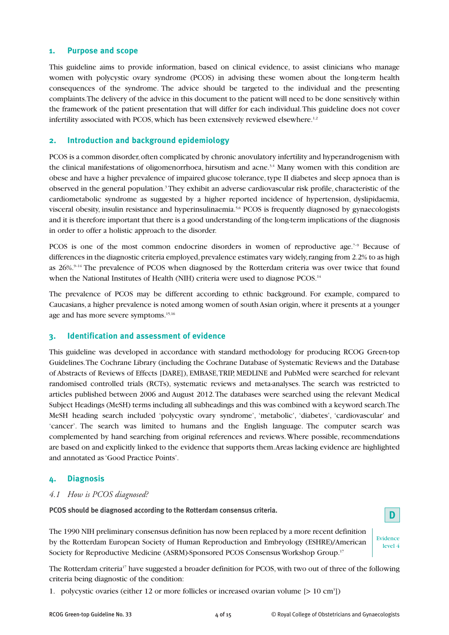#### **1. Purpose and scope**

This guideline aims to provide information, based on clinical evidence, to assist clinicians who manage women with polycystic ovary syndrome (PCOS) in advising these women about the long-term health consequences of the syndrome. The advice should be targeted to the individual and the presenting complaints. The delivery of the advice in this document to the patient will need to be done sensitively within the framework of the patient presentation that will differ for each individual. This guideline does not cover infertility associated with PCOS, which has been extensively reviewed elsewhere.<sup>1,2</sup>

# **2. Introduction and background epidemiology**

PCOS is a common disorder, often complicated by chronic anovulatory infertility and hyperandrogenism with the clinical manifestations of oligomenorrhoea, hirsutism and acne.<sup>3,4</sup> Many women with this condition are obese and have a higher prevalence of impaired glucose tolerance, type II diabetes and sleep apnoea than is observed in the general population.3 They exhibit an adverse cardiovascular risk profile, characteristic of the cardiometabolic syndrome as suggested by a higher reported incidence of hypertension, dyslipidaemia, visceral obesity, insulin resistance and hyperinsulinaemia.5,6 PCOS is frequently diagnosed by gynaecologists and it is therefore important that there is a good understanding of the long-term implications of the diagnosis in order to offer a holistic approach to the disorder.

PCOS is one of the most common endocrine disorders in women of reproductive age.<sup>7-9</sup> Because of differences in the diagnostic criteria employed, prevalence estimates vary widely, ranging from 2.2% to as high as 26%.<sup>9-14</sup> The prevalence of PCOS when diagnosed by the Rotterdam criteria was over twice that found when the National Institutes of Health (NIH) criteria were used to diagnose PCOS.<sup>14</sup>

The prevalence of PCOS may be different according to ethnic background. For example, compared to Caucasians, a higher prevalence is noted among women of south Asian origin, where it presents at a younger age and has more severe symptoms.15,16

# **3. Identification and assessment of evidence**

This guideline was developed in accordance with standard methodology for producing RCOG Green-top Guidelines. The Cochrane Library (including the Cochrane Database of Systematic Reviews and the Database of Abstracts of Reviews of Effects [DARE]), EMBASE, TRIP, MEDLINE and PubMed were searched for relevant randomised controlled trials (RCTs), systematic reviews and meta-analyses. The search was restricted to articles published between 2006 and August 2012. The databases were searched using the relevant Medical Subject Headings (MeSH) terms including all subheadings and this was combined with a keyword search. The MeSH heading search included 'polycystic ovary syndrome', 'metabolic', 'diabetes', 'cardiovascular' and 'cancer'. The search was limited to humans and the English language. The computer search was complemented by hand searching from original references and reviews. Where possible, recommendations are based on and explicitly linked to the evidence that supports them. Areas lacking evidence are highlighted and annotated as 'Good Practice Points'.

# **4. Diagnosis**

*4.1 How is PCOS diagnosed?*

**PCOS should be diagnosed according to the Rotterdam consensus criteria.**

The 1990 NIH preliminary consensus definition has now been replaced by a more recent definition by the Rotterdam European Society of Human Reproduction and Embryology (ESHRE)/American Society for Reproductive Medicine (ASRM)-Sponsored PCOS Consensus Workshop Group.17

Evidence level 4

**D**

The Rotterdam criteria<sup>17</sup> have suggested a broader definition for PCOS, with two out of three of the following criteria being diagnostic of the condition:

1. polycystic ovaries (either 12 or more follicles or increased ovarian volume [> 10 cm3 ])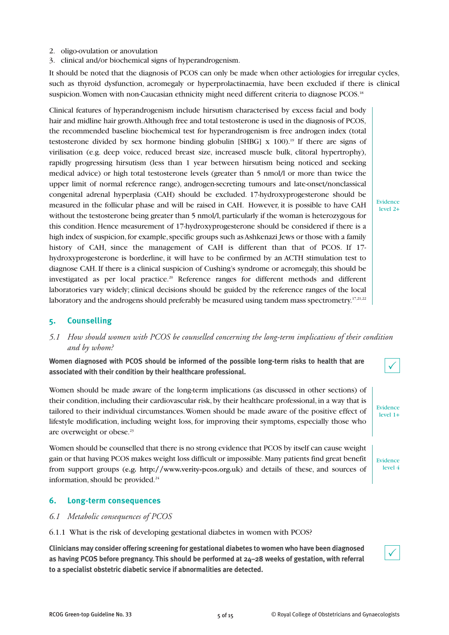- 2. oligo-ovulation or anovulation
- 3. clinical and/or biochemical signs of hyperandrogenism.

It should be noted that the diagnosis of PCOS can only be made when other aetiologies for irregular cycles, such as thyroid dysfunction, acromegaly or hyperprolactinaemia, have been excluded if there is clinical suspicion. Women with non-Caucasian ethnicity might need different criteria to diagnose PCOS.<sup>18</sup>

Clinical features of hyperandrogenism include hirsutism characterised by excess facial and body hair and midline hair growth. Although free and total testosterone is used in the diagnosis of PCOS, the recommended baseline biochemical test for hyperandrogenism is free androgen index (total testosterone divided by sex hormone binding globulin [SHBG]  $\times$  100).<sup>19</sup> If there are signs of virilisation (e.g. deep voice, reduced breast size, increased muscle bulk, clitoral hypertrophy), rapidly progressing hirsutism (less than 1 year between hirsutism being noticed and seeking medical advice) or high total testosterone levels (greater than 5 nmol/l or more than twice the upper limit of normal reference range), androgen-secreting tumours and late-onset/nonclassical congenital adrenal hyperplasia (CAH) should be excluded. 17-hydroxyprogesterone should be measured in the follicular phase and will be raised in CAH. However, it is possible to have CAH without the testosterone being greater than 5 nmol/l, particularly if the woman is heterozygous for this condition. Hence measurement of 17-hydroxyprogesterone should be considered if there is a high index of suspicion, for example, specific groups such as Ashkenazi Jews or those with a family history of CAH, since the management of CAH is different than that of PCOS. If 17 hydroxyprogesterone is borderline, it will have to be confirmed by an ACTH stimulation test to diagnose CAH. If there is a clinical suspicion of Cushing's syndrome or acromegaly, this should be investigated as per local practice.<sup>20</sup> Reference ranges for different methods and different laboratories vary widely; clinical decisions should be guided by the reference ranges of the local laboratory and the androgens should preferably be measured using tandem mass spectrometry.<sup>17,21,22</sup>

# **5. Counselling**

# *5.1 How should women with PCOS be counselled concerning the long-term implications of their condition and by whom?*

**Women diagnosed with PCOS should be informed of the possible long-term risks to health that are associated with their condition by their healthcare professional.**

Women should be made aware of the long-term implications (as discussed in other sections) of their condition, including their cardiovascular risk, by their healthcare professional, in a way that is tailored to their individual circumstances. Women should be made aware of the positive effect of lifestyle modification, including weight loss, for improving their symptoms, especially those who are overweight or obese.<sup>23</sup>

Women should be counselled that there is no strong evidence that PCOS by itself can cause weight gain or that having PCOS makes weight loss difficult or impossible. Many patients find great benefit from support groups (**e.g. http://www.verity-pcos.org.uk**) and details of these, and sources of information, should be provided.<sup>24</sup>

# **6. Long-term consequences**

#### *6.1 Metabolic consequences of PCOS*

#### 6.1.1 What is the risk of developing gestational diabetes in women with PCOS?

**Clinicians may consider offering screening for gestational diabetes to women who have been diagnosed as having PCOS before pregnancy. This should be performed at 24–28 weeks of gestation, with referral to a specialist obstetric diabetic service if abnormalities are detected.**

Evidence level 2+

Evidence level 1+

Evidence level 4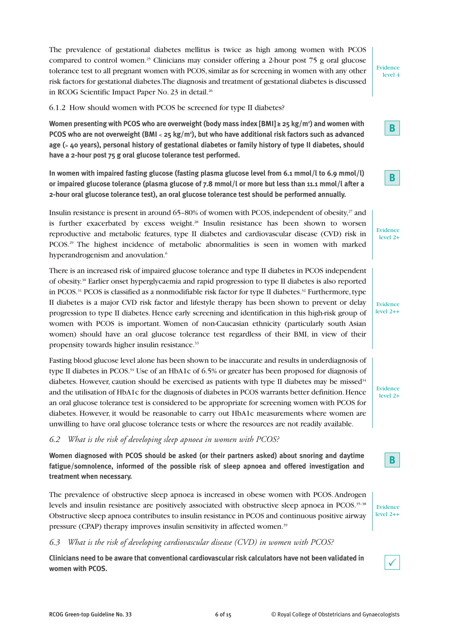The prevalence of gestational diabetes mellitus is twice as high among women with PCOS compared to control women.<sup>25</sup> Clinicians may consider offering a 2-hour post 75 g oral glucose tolerance test to all pregnant women with PCOS, similar as for screening in women with any other risk factors for gestational diabetes. The diagnosis and treatment of gestational diabetes is discussed in RCOG Scientific Impact Paper No. 23 in detail.<sup>26</sup>

#### 6.1.2 How should women with PCOS be screened for type II diabetes?

**Women presenting with PCOS who are overweight (body mass index [BMI] ≥ 25 kg/m2 ) and women with PCOS who are not overweight (BMI** < **25 kg/m2 ), but who have additional risk factors such as advanced age (**> **40 years), personal history of gestational diabetes or family history of type II diabetes, should have a 2-hour post 75 g oral glucose tolerance test performed.**

**In women with impaired fasting glucose (fasting plasma glucose level from 6.1 mmol/l to 6.9 mmol/l) or impaired glucose tolerance (plasma glucose of 7.8 mmol/l or more but less than 11.1 mmol/l after a 2-hour oral glucose tolerance test), an oral glucose tolerance test should be performed annually.**

Insulin resistance is present in around  $65-80%$  of women with PCOS, independent of obesity, $27$  and is further exacerbated by excess weight.<sup>28</sup> Insulin resistance has been shown to worsen reproductive and metabolic features, type II diabetes and cardiovascular disease (CVD) risk in PCOS.<sup>29</sup> The highest incidence of metabolic abnormalities is seen in women with marked hyperandrogenism and anovulation.<sup>6</sup>

There is an increased risk of impaired glucose tolerance and type II diabetes in PCOS independent of obesity.30 Earlier onset hyperglycaemia and rapid progression to type II diabetes is also reported in PCOS.<sup>31</sup> PCOS is classified as a nonmodifiable risk factor for type II diabetes.<sup>32</sup> Furthermore, type II diabetes is a major CVD risk factor and lifestyle therapy has been shown to prevent or delay progression to type II diabetes. Hence early screening and identification in this high-risk group of women with PCOS is important. Women of non-Caucasian ethnicity (particularly south Asian women) should have an oral glucose tolerance test regardless of their BMI, in view of their propensity towards higher insulin resistance.33

Fasting blood glucose level alone has been shown to be inaccurate and results in underdiagnosis of type II diabetes in PCOS.<sup>34</sup> Use of an HbA1c of 6.5% or greater has been proposed for diagnosis of diabetes. However, caution should be exercised as patients with type II diabetes may be missed $34$ and the utilisation of HbA1c for the diagnosis of diabetes in PCOS warrants better definition. Hence an oral glucose tolerance test is considered to be appropriate for screening women with PCOS for diabetes. However, it would be reasonable to carry out HbA1c measurements where women are unwilling to have oral glucose tolerance tests or where the resources are not readily available.

#### *6.2 What is the risk of developing sleep apnoea in women with PCOS?*

**Women diagnosed with PCOS should be asked (or their partners asked) about snoring and daytime fatigue/somnolence, informed of the possible risk of sleep apnoea and offered investigation and treatment when necessary.**

The prevalence of obstructive sleep apnoea is increased in obese women with PCOS. Androgen levels and insulin resistance are positively associated with obstructive sleep apnoea in PCOS.35–38 Obstructive sleep apnoea contributes to insulin resistance in PCOS and continuous positive airway pressure (CPAP) therapy improves insulin sensitivity in affected women.39

# *6.3 What is the risk of developing cardiovascular disease (CVD) in women with PCOS?*

**Clinicians need to be aware that conventional cardiovascular risk calculators have not been validated in women with PCOS.**

Evidence level 4



Evidence level 2+

Evidence level 2++

Evidence level 2+



Evidence level 2++

 $\checkmark$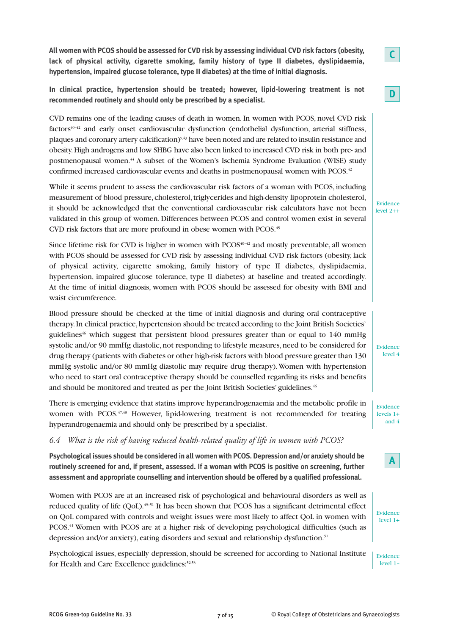**All women with PCOS should be assessed for CVD risk by assessing individual CVD risk factors (obesity, lack of physical activity, cigarette smoking, family history of type II diabetes, dyslipidaemia, hypertension, impaired glucose tolerance, type II diabetes) at the time of initial diagnosis.**

**In clinical practice, hypertension should be treated; however, lipid-lowering treatment is not recommended routinely and should only be prescribed by a specialist.**

CVD remains one of the leading causes of death in women. In women with PCOS, novel CVD risk  $factors^{40-42}$  and early onset cardiovascular dysfunction (endothelial dysfunction, arterial stiffness, plaques and coronary artery calcification)5,43 have been noted and are related to insulin resistance and obesity. High androgens and low SHBG have also been linked to increased CVD risk in both pre- and postmenopausal women.44 A subset of the Women's Ischemia Syndrome Evaluation (WISE) study confirmed increased cardiovascular events and deaths in postmenopausal women with PCOS.<sup>42</sup>

While it seems prudent to assess the cardiovascular risk factors of a woman with PCOS, including measurement of blood pressure, cholesterol, triglycerides and high-density lipoprotein cholesterol, it should be acknowledged that the conventional cardiovascular risk calculators have not been validated in this group of women. Differences between PCOS and control women exist in several CVD risk factors that are more profound in obese women with PCOS.<sup>45</sup>

Since lifetime risk for CVD is higher in women with  $PCOS^{40-42}$  and mostly preventable, all women with PCOS should be assessed for CVD risk by assessing individual CVD risk factors (obesity, lack of physical activity, cigarette smoking, family history of type II diabetes, dyslipidaemia, hypertension, impaired glucose tolerance, type II diabetes) at baseline and treated accordingly. At the time of initial diagnosis, women with PCOS should be assessed for obesity with BMI and waist circumference.

Blood pressure should be checked at the time of initial diagnosis and during oral contraceptive therapy. In clinical practice, hypertension should be treated according to the Joint British Societies' guidelines<sup> $46$ </sup> which suggest that persistent blood pressures greater than or equal to  $140$  mmHg systolic and/or 90 mmHg diastolic, not responding to lifestyle measures, need to be considered for drug therapy (patients with diabetes or other high-risk factors with blood pressure greater than 130 mmHg systolic and/or 80 mmHg diastolic may require drug therapy). Women with hypertension who need to start oral contraceptive therapy should be counselled regarding its risks and benefits and should be monitored and treated as per the Joint British Societies' guidelines.<sup>46</sup>

There is emerging evidence that statins improve hyperandrogenaemia and the metabolic profile in women with PCOS.<sup>47,48</sup> However, lipid-lowering treatment is not recommended for treating hyperandrogenaemia and should only be prescribed by a specialist.

#### *6.4 What is the risk of having reduced health-related quality of life in women with PCOS?*

**Psychological issues should be considered in all women with PCOS. Depression and/or anxiety should be routinely screened for and, if present, assessed. If a woman with PCOS is positive on screening, further assessment and appropriate counselling and intervention should be offered by a qualified professional.**

Women with PCOS are at an increased risk of psychological and behavioural disorders as well as reduced quality of life (QoL).<sup>49-51</sup> It has been shown that PCOS has a significant detrimental effect on QoL compared with controls and weight issues were most likely to affect QoL in women with PCOS.41 Women with PCOS are at a higher risk of developing psychological difficulties (such as depression and/or anxiety), eating disorders and sexual and relationship dysfunction.<sup>51</sup>

Psychological issues, especially depression, should be screened for according to National Institute for Health and Care Excellence guidelines: 52,53

Evidence level 1+

Evidence level 4

Evidence levels 1+ and 4

**A**

Evidence level 2++

**C**

**D**

Evidence level 1–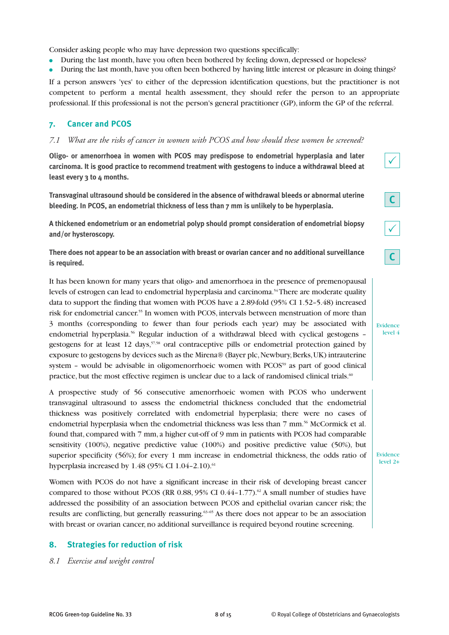Consider asking people who may have depression two questions specifically:

- During the last month, have you often been bothered by feeling down, depressed or hopeless?
- During the last month, have you often been bothered by having little interest or pleasure in doing things?

If a person answers 'yes' to either of the depression identification questions, but the practitioner is not competent to perform a mental health assessment, they should refer the person to an appropriate professional. If this professional is not the person's general practitioner (GP), inform the GP of the referral.

# **7. Cancer and PCOS**

# *7.1 What are the risks of cancer in women with PCOS and how should these women be screened?*

**Oligo- or amenorrhoea in women with PCOS may predispose to endometrial hyperplasia and later carcinoma. It is good practice to recommend treatment with gestogens to induce a withdrawal bleed at least every 3 to 4 months.**

**Transvaginal ultrasound should be considered in the absence of withdrawal bleeds or abnormal uterine bleeding. In PCOS, an endometrial thickness of less than 7 mm is unlikely to be hyperplasia.**

**A thickened endometrium or an endometrial polyp should prompt consideration of endometrial biopsy and/or hysteroscopy.**

**There does not appear to be an association with breast or ovarian cancer and no additional surveillance is required.**

It has been known for many years that oligo- and amenorrhoea in the presence of premenopausal levels of estrogen can lead to endometrial hyperplasia and carcinoma.54There are moderate quality data to support the finding that women with PCOS have a 2.89-fold (95% CI 1.52–5.48) increased risk for endometrial cancer.<sup>55</sup> In women with PCOS, intervals between menstruation of more than 3 months (corresponding to fewer than four periods each year) may be associated with endometrial hyperplasia.<sup>56</sup> Regular induction of a withdrawal bleed with cyclical gestogens gestogens for at least 12 days,<sup>57,58</sup> oral contraceptive pills or endometrial protection gained by exposure to gestogens by devices such as the Mirena® (Bayer plc, Newbury, Berks, UK) intrauterine system – would be advisable in oligomenorrhoeic women with PCOS<sup>59</sup> as part of good clinical practice, but the most effective regimen is unclear due to a lack of randomised clinical trials.<sup>60</sup>

A prospective study of 56 consecutive amenorrhoeic women with PCOS who underwent transvaginal ultrasound to assess the endometrial thickness concluded that the endometrial thickness was positively correlated with endometrial hyperplasia; there were no cases of endometrial hyperplasia when the endometrial thickness was less than 7 mm.<sup>56</sup> McCormick et al. found that, compared with 7 mm, a higher cut-off of 9 mm in patients with PCOS had comparable sensitivity (100%), negative predictive value (100%) and positive predictive value (50%), but superior specificity (56%); for every 1 mm increase in endometrial thickness, the odds ratio of hyperplasia increased by 1.48 (95% CI 1.04-2.10).<sup>61</sup>

Women with PCOS do not have a significant increase in their risk of developing breast cancer compared to those without PCOS (RR 0.88, 95% CI 0.44–1.77).<sup>62</sup> A small number of studies have addressed the possibility of an association between PCOS and epithelial ovarian cancer risk; the results are conflicting, but generally reassuring.<sup>63-65</sup> As there does not appear to be an association with breast or ovarian cancer, no additional surveillance is required beyond routine screening.

# **8. Strategies for reduction of risk**

#### *8.1 Exercise and weight control*

Evidence level 2+

**C**

 $\checkmark$ 

**C**

Evidence level 4

 $\sqrt{ }$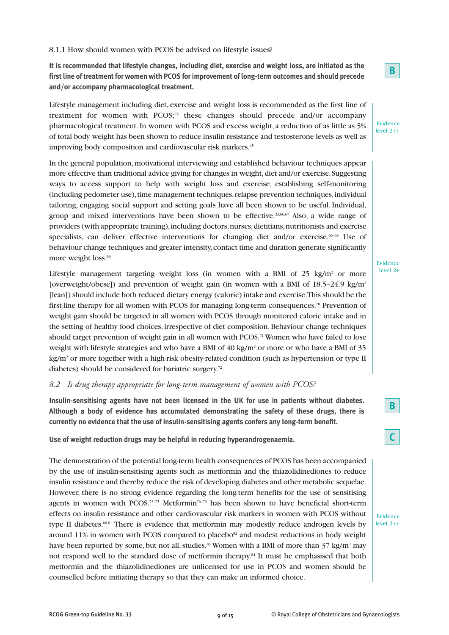#### 8.1.1 How should women with PCOS be advised on lifestyle issues?

**It is recommended that lifestyle changes, including diet, exercise and weight loss, are initiated as the first line of treatment for women with PCOS for improvement of long-term outcomes and should precede and/or accompany pharmacological treatment.**

Lifestyle management including diet, exercise and weight loss is recommended as the first line of treatment for women with  $PCOS<sub>1</sub><sup>23</sup>$  these changes should precede and/or accompany pharmacological treatment. In women with PCOS and excess weight, a reduction of as little as 5% of total body weight has been shown to reduce insulin resistance and testosterone levels as well as improving body composition and cardiovascular risk markers.<sup>45</sup>

In the general population, motivational interviewing and established behaviour techniques appear more effective than traditional advice giving for changes in weight, diet and/or exercise. Suggesting ways to access support to help with weight loss and exercise, establishing self-monitoring (including pedometer use), time management techniques, relapse prevention techniques, individual tailoring, engaging social support and setting goals have all been shown to be useful. Individual, group and mixed interventions have been shown to be effective.<sup>23,66,67</sup> Also, a wide range of providers (with appropriate training), including doctors, nurses, dietitians, nutritionists and exercise specialists, can deliver effective interventions for changing diet and/or exercise. $66-69$  Use of behaviour change techniques and greater intensity, contact time and duration generate significantly more weight loss.<sup>69</sup>

Lifestyle management targeting weight loss (in women with a BMI of  $25 \text{ kg/m}^2$  or more [overweight/obese]) and prevention of weight gain (in women with a BMI of 18.5–24.9 kg/m<sup>2</sup> [lean]) should include both reduced dietary energy (caloric) intake and exercise. This should be the first-line therapy for all women with PCOS for managing long-term consequences.<sup>70</sup> Prevention of weight gain should be targeted in all women with PCOS through monitored caloric intake and in the setting of healthy food choices, irrespective of diet composition. Behaviour change techniques should target prevention of weight gain in all women with PCOS.<sup>71</sup> Women who have failed to lose weight with lifestyle strategies and who have a BMI of 40 kg/m<sup>2</sup> or more or who have a BMI of 35 kg/m<sup>2</sup> or more together with a high-risk obesity-related condition (such as hypertension or type II diabetes) should be considered for bariatric surgery.<sup>72</sup>

#### *8.2 Is drug therapy appropriate for long-term management of women with PCOS?*

**Insulin-sensitising agents have not been licensed in the UK for use in patients without diabetes. Although a body of evidence has accumulated demonstrating the safety of these drugs, there is currently no evidence that the use of insulin-sensitising agents confers any long-term benefit.**

**Use of weight reduction drugs may be helpful in reducing hyperandrogenaemia.**

The demonstration of the potential long-term health consequences of PCOS has been accompanied by the use of insulin-sensitising agents such as metformin and the thiazolidinediones to reduce insulin resistance and thereby reduce the risk of developing diabetes and other metabolic sequelae. However, there is no strong evidence regarding the long-term benefits for the use of sensitising agents in women with PCOS.<sup>73-75</sup> Metformin<sup>76-79</sup> has been shown to have beneficial short-term effects on insulin resistance and other cardiovascular risk markers in women with PCOS without type II diabetes.<sup>80,81</sup> There is evidence that metformin may modestly reduce androgen levels by around  $11\%$  in women with PCOS compared to placebo $82$  and modest reductions in body weight have been reported by some, but not all, studies.<sup>83</sup> Women with a BMI of more than  $37 \text{ kg/m}^2$  may not respond well to the standard dose of metformin therapy.<sup>84</sup> It must be emphasised that both metformin and the thiazolidinediones are unlicensed for use in PCOS and women should be counselled before initiating therapy so that they can make an informed choice.

**B**

Evidence level 2++

Evidence level 2+

**B**

Evidence level 2++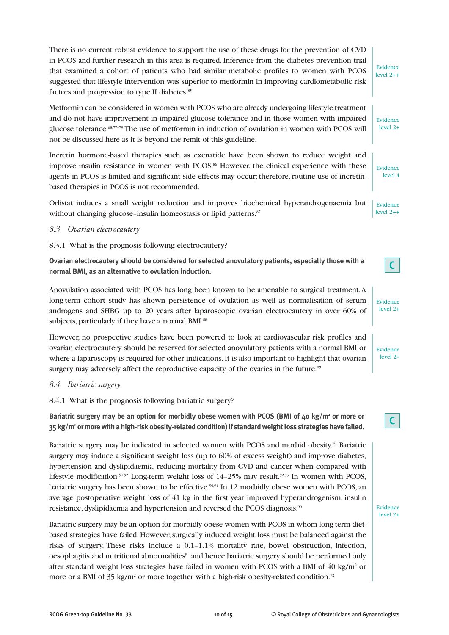There is no current robust evidence to support the use of these drugs for the prevention of CVD in PCOS and further research in this area is required. Inference from the diabetes prevention trial that examined a cohort of patients who had similar metabolic profiles to women with PCOS suggested that lifestyle intervention was superior to metformin in improving cardiometabolic risk factors and progression to type II diabetes.<sup>85</sup>

Metformin can be considered in women with PCOS who are already undergoing lifestyle treatment and do not have improvement in impaired glucose tolerance and in those women with impaired glucose tolerance.<sup>68,77-79</sup> The use of metformin in induction of ovulation in women with PCOS will not be discussed here as it is beyond the remit of this guideline.

Incretin hormone-based therapies such as exenatide have been shown to reduce weight and improve insulin resistance in women with PCOS.<sup>86</sup> However, the clinical experience with these agents in PCOS is limited and significant side effects may occur; therefore, routine use of incretinbased therapies in PCOS is not recommended.

Orlistat induces a small weight reduction and improves biochemical hyperandrogenaemia but without changing glucose-insulin homeostasis or lipid patterns.<sup>87</sup>

*8.3 Ovarian electrocautery*

8.3.1 What is the prognosis following electrocautery?

**Ovarian electrocautery should be considered for selected anovulatory patients, especially those with a normal BMI, as an alternative to ovulation induction.**

Anovulation associated with PCOS has long been known to be amenable to surgical treatment. A long-term cohort study has shown persistence of ovulation as well as normalisation of serum androgens and SHBG up to 20 years after laparoscopic ovarian electrocautery in over 60% of subjects, particularly if they have a normal BMI.<sup>88</sup>

However, no prospective studies have been powered to look at cardiovascular risk profiles and ovarian electrocautery should be reserved for selected anovulatory patients with a normal BMI or where a laparoscopy is required for other indications. It is also important to highlight that ovarian surgery may adversely affect the reproductive capacity of the ovaries in the future.<sup>89</sup>

- *8.4 Bariatric surgery*
- 8.4.1 What is the prognosis following bariatric surgery?

Bariatric surgery may be an option for morbidly obese women with PCOS (BMI of 40 kg/m<sup>2</sup> or more or **35 kg/m2 or more with a high-risk obesity-related condition) if standard weight loss strategies have failed.**

Bariatric surgery may be indicated in selected women with PCOS and morbid obesity.<sup>90</sup> Bariatric surgery may induce a significant weight loss (up to 60% of excess weight) and improve diabetes, hypertension and dyslipidaemia, reducing mortality from CVD and cancer when compared with lifestyle modification.<sup>91,92</sup> Long-term weight loss of  $14-25%$  may result.<sup>92,93</sup> In women with PCOS, bariatric surgery has been shown to be effective.<sup>90,94</sup> In 12 morbidly obese women with PCOS, an average postoperative weight loss of 41 kg in the first year improved hyperandrogenism, insulin resistance, dyslipidaemia and hypertension and reversed the PCOS diagnosis.<sup>90</sup>

Bariatric surgery may be an option for morbidly obese women with PCOS in whom long-term dietbased strategies have failed. However, surgically induced weight loss must be balanced against the risks of surgery. These risks include a 0.1–1.1% mortality rate, bowel obstruction, infection, oesophagitis and nutritional abnormalities<sup>91</sup> and hence bariatric surgery should be performed only after standard weight loss strategies have failed in women with PCOS with a BMI of 40 kg/m<sup>2</sup> or more or a BMI of 35 kg/m<sup>2</sup> or more together with a high-risk obesity-related condition.<sup>72</sup>

Evidence level 2++

Evidence level 2+

Evidence level 4

Evidence level  $2++$ 

Evidence level 2+

Evidence level 2–



Evidence level 2+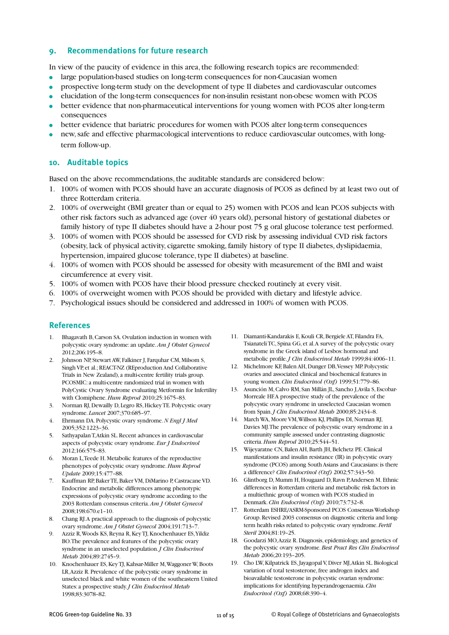# **9. Recommendations for future research**

In view of the paucity of evidence in this area, the following research topics are recommended:

- large population-based studies on long-term consequences for non-Caucasian women
- prospective long-term study on the development of type II diabetes and cardiovascular outcomes
- elucidation of the long-term consequences for non-insulin resistant non-obese women with PCOS
- better evidence that non-pharmaceutical interventions for young women with PCOS alter long-term consequences
- better evidence that bariatric procedures for women with PCOS alter long-term consequences
- new, safe and effective pharmacological interventions to reduce cardiovascular outcomes, with longterm follow-up.

#### **10. Auditable topics**

Based on the above recommendations, the auditable standards are considered below:

- 1. 100% of women with PCOS should have an accurate diagnosis of PCOS as defined by at least two out of three Rotterdam criteria.
- 2. 100% of overweight (BMI greater than or equal to 25) women with PCOS and lean PCOS subjects with other risk factors such as advanced age (over 40 years old), personal history of gestational diabetes or family history of type II diabetes should have a 2-hour post 75 g oral glucose tolerance test performed.
- 3. 100% of women with PCOS should be assessed for CVD risk by assessing individual CVD risk factors (obesity, lack of physical activity, cigarette smoking, family history of type II diabetes, dyslipidaemia, hypertension, impaired glucose tolerance, type II diabetes) at baseline.
- 4. 100% of women with PCOS should be assessed for obesity with measurement of the BMI and waist circumference at every visit.
- 5. 100% of women with PCOS have their blood pressure checked routinely at every visit.
- 6. 100% of overweight women with PCOS should be provided with dietary and lifestyle advice.
- 7. Psychological issues should be considered and addressed in 100% of women with PCOS.

#### **References**

- 1. Bhagavath B, Carson SA. Ovulation induction in women with polycystic ovary syndrome: an update. *Am J Obstet Gynecol* 2012;206:195–8.
- 2. Johnson NP, Stewart AW, Falkiner J, Farquhar CM, Milsom S, Singh VP, et al.; REACT-NZ (REproduction And Collaborative Trials in New Zealand), a multi-centre fertility trials group. PCOSMIC: a multi-centre randomized trial in women with PolyCystic Ovary Syndrome evaluating Metformin for Infertility with Clomiphene. *Hum Reprod* 2010;25:1675–83.
- 3. Norman RJ, Dewailly D, Legro RS, Hickey TE. Polycystic ovary syndrome. *Lancet* 2007;370:685–97.
- 4. Ehrmann DA. Polycystic ovary syndrome. *N Engl J Med* 2005;352:1223–36.
- 5. Sathyapalan T, Atkin SL. Recent advances in cardiovascular aspects of polycystic ovary syndrome. *Eur J Endocrinol* 2012;166:575–83.
- 6. Moran L, Teede H. Metabolic features of the reproductive phenotypes of polycystic ovary syndrome. *Hum Reprod Update* 2009;15:477–88.
- 7. Kauffman RP, Baker TE, Baker VM, DiMarino P, Castracane VD. Endocrine and metabolic differences among phenotypic expressions of polycystic ovary syndrome according to the 2003 Rotterdam consensus criteria. *Am J Obstet Gynecol* 2008;198:670.e1–10.
- 8. Chang RJ. A practical approach to the diagnosis of polycystic ovary syndrome. *Am J Obstet Gynecol* 2004;191:713–7.
- 9. Azziz R, Woods KS, Reyna R, Key TJ, Knochenhauer ES, Yildiz BO. The prevalence and features of the polycystic ovary syndrome in an unselected population. *J Clin Endocrinol Metab* 2004;89:2745–9.
- 10. Knochenhauer ES, Key TJ, Kahsar-Miller M, Waggoner W, Boots LR, Azziz R. Prevalence of the polycystic ovary syndrome in unselected black and white women of the southeastern United States: a prospective study. *J Clin Endocrinol Metab* 1998;83:3078–82.
- 11. Diamanti-Kandarakis E, Kouli CR, Bergiele AT, Filandra FA, Tsianateli TC, Spina GG, et al. A survey of the polycystic ovary syndrome in the Greek island of Lesbos: hormonal and metabolic profile. *J Clin Endocrinol Metab* 1999;84:4006–11.
- 12. Michelmore KF, Balen AH, Dunger DB, Vessey MP. Polycystic ovaries and associated clinical and biochemical features in young women. *Clin Endocrinol (Oxf)* 1999;51:779–86.
- 13. Asunción M, Calvo RM, San Millán JL, Sancho J, Avila S, Escobar-Morreale HF.A prospective study of the prevalence of the polycystic ovary syndrome in unselected Caucasian women from Spain. *J Clin Endocrinol Metab* 2000;85:2434–8.
- 14. March WA, Moore VM, Willson KJ, Phillips DI, Norman RJ, Davies MJ. The prevalence of polycystic ovary syndrome in a community sample assessed under contrasting diagnostic criteria. *Hum Reprod* 2010;25:544–51.
- 15. Wijeyaratne CN, Balen AH, Barth JH, Belchetz PE. Clinical manifestations and insulin resistance (IR) in polycystic ovary syndrome (PCOS) among South Asians and Caucasians: is there a difference? *Clin Endocrinol (Oxf)* 2002;57:343–50.
- 16. Glintborg D, Mumm H, Hougaard D, Ravn P, Andersen M. Ethnic differences in Rotterdam criteria and metabolic risk factors in a multiethnic group of women with PCOS studied in Denmark. *Clin Endocrinol (Oxf)* 2010;73:732–8.
- 17. Rotterdam ESHRE/ASRM-Sponsored PCOS Consensus Workshop Group. Revised 2003 consensus on diagnostic criteria and longterm health risks related to polycystic ovary syndrome. *Fertil Steril* 2004;81:19–25.
- 18. Goodarzi MO, Azziz R. Diagnosis, epidemiology, and genetics of the polycystic ovary syndrome. *Best Pract Res Clin Endocrinol Metab* 2006;20:193–205.
- 19. Cho LW, Kilpatrick ES, Jayagopal V, Diver MJ, Atkin SL. Biological variation of total testosterone, free androgen index and bioavailable testosterone in polycystic ovarian syndrome: implications for identifying hyperandrogenaemia. *Clin Endocrinol (Oxf)* 2008;68:390–4.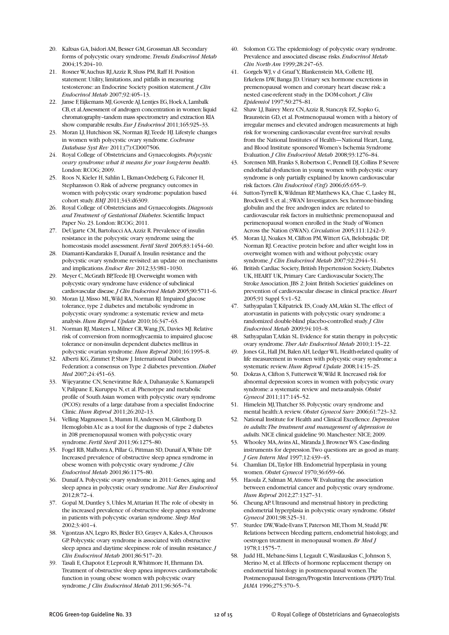- 20. Kaltsas GA, Isidori AM, Besser GM, Grossman AB. Secondary forms of polycystic ovary syndrome. *Trends Endocrinol Metab* 2004;15:204–10.
- 21. Rosner W, Auchus RJ, Azziz R, Sluss PM, Raff H. Position statement: Utility, limitations, and pitfalls in measuring testosterone: an Endocrine Society position statement. *J Clin Endocrinol Metab* 2007;92:405–13.
- 22. Janse F, Eijkemans MJ, Goverde AJ, Lentjes EG, Hoek A, Lambalk CB, et al. Assessment of androgen concentration in women: liquid chromatography–tandem mass spectrometry and extraction RIA show comparable results. *Eur J Endocrinol* 2011;165:925–33.
- 23. Moran LJ, Hutchison SK, Norman RJ, Teede HJ. Lifestyle changes in women with polycystic ovary syndrome. *Cochrane Database Syst Rev* 2011;(7):CD007506.
- 24. Royal College of Obstetricians and Gynaecologists. *Polycystic ovary syndrome: what it means for your long-term health*. London: RCOG; 2009.
- 25. Roos N, Kieler H, Sahlin L, Ekman-Ordeberg G, Falconer H, Stephansson O. Risk of adverse pregnancy outcomes in women with polycystic ovary syndrome: population based cohort study. *BMJ* 2011;343:d6309.
- 26. Royal College of Obstetricians and Gynaecologists. *Diagnosis and Treatment of Gestational Diabetes*. Scientific Impact Paper No. 23. London: RCOG; 2011.
- 27. DeUgarte CM, Bartolucci AA, Azziz R. Prevalence of insulin resistance in the polycystic ovary syndrome using the homeostasis model assessment. *Fertil Steril* 2005;83:1454–60.
- 28. Diamanti-Kandarakis E, Dunaif A. Insulin resistance and the polycystic ovary syndrome revisited: an update on mechanisms and implications. *Endocr Rev* 2012;33:981–1030.
- 29. Meyer C, McGrath BP, Teede HJ. Overweight women with polycystic ovary syndrome have evidence of subclinical cardiovascular disease. *J Clin Endocrinol Metab* 2005;90:5711–6.
- 30. Moran LJ, Misso ML, Wild RA, Norman RJ. Impaired glucose tolerance, type 2 diabetes and metabolic syndrome in polycystic ovary syndrome: a systematic review and metaanalysis. *Hum Reprod Update* 2010;16:347–63.
- 31. Norman RJ, Masters L, Milner CR, Wang JX, Davies MJ. Relative risk of conversion from normoglycaemia to impaired glucose tolerance or non-insulin dependent diabetes mellitus in polycystic ovarian syndrome. *Hum Reprod* 2001;16:1995–8.
- 32. Alberti KG, Zimmet P, Shaw J. International Diabetes Federation: a consensus on Type 2 diabetes prevention. *Diabet Med* 2007;24:451–63.
- 33. Wijeyaratne CN, Seneviratne Rde A, Dahanayake S, Kumarapeli V, Palipane E, Kuruppu N, et al. Phenotype and metabolic profile of South Asian women with polycystic ovary syndrome (PCOS): results of a large database from a specialist Endocrine Clinic. *Hum Reprod* 2011;26:202–13.
- 34. Velling Magnussen L, Mumm H, Andersen M, Glintborg D. Hemoglobin A1c as a tool for the diagnosis of type 2 diabetes in 208 premenopausal women with polycystic ovary syndrome. *Fertil Steril* 2011;96:1275–80.
- 35. Fogel RB, Malhotra A, Pillar G, Pittman SD, Dunaif A, White DP. Increased prevalence of obstructive sleep apnea syndrome in obese women with polycystic ovary syndrome. *J Clin Endocrinol Metab* 2001;86:1175–80.
- 36. Dunaif A. Polycystic ovary syndrome in 2011: Genes, aging and sleep apnea in polycystic ovary syndrome. *Nat Rev Endocrinol* 2012;8:72–4.
- 37. Gopal M, Duntley S, Uhles M, Attarian H. The role of obesity in the increased prevalence of obstructive sleep apnea syndrome in patients with polycystic ovarian syndrome. *Sleep Med* 2002;3:401–4.
- 38. Vgontzas AN, Legro RS, Bixler EO, Grayev A, Kales A, Chrousos GP. Polycystic ovary syndrome is associated with obstructive sleep apnea and daytime sleepiness: role of insulin resistance. *J Clin Endocrinol Metab* 2001;86:517–20.
- 39. Tasali E, Chapotot F, Leproult R, Whitmore H, Ehrmann DA. Treatment of obstructive sleep apnea improves cardiometabolic function in young obese women with polycystic ovary syndrome. *J Clin Endocrinol Metab* 2011;96:365–74.
- 40. Solomon CG. The epidemiology of polycystic ovary syndrome. Prevalence and associated disease risks. *Endocrinol Metab Clin North Am* 1999;28:247–63.
- 41. Gorgels WJ, v d Graaf Y, Blankenstein MA, Collette HJ, Erkelens DW, Banga JD. Urinary sex hormone excretions in premenopausal women and coronary heart disease risk: a nested case-referent study in the DOM-cohort. *J Clin Epidemiol* 1997;50:275–81.
- 42. Shaw LJ, Bairey Merz CN, Azziz R, Stanczyk FZ, Sopko G, Braunstein GD, et al. Postmenopausal women with a history of irregular menses and elevated androgen measurements at high risk for worsening cardiovascular event-free survival: results from the National Institutes of Health—National Heart, Lung, and Blood Institute sponsored Women's Ischemia Syndrome Evaluation. *J Clin Endocrinol Metab* 2008;93:1276–84.
- 43. Sorensen MB, Franks S, Robertson C, Pennell DJ, Collins P. Severe endothelial dysfunction in young women with polycystic ovary syndrome is only partially explained by known cardiovascular risk factors. *Clin Endocrinol (Oxf)* 2006;65:655–9.
- 44. Sutton-Tyrrell K, Wildman RP, Matthews KA, Chae C, Lasley BL, Brockwell S, et al.; SWAN Investigators. Sex hormone-binding globulin and the free androgen index are related to cardiovascular risk factors in multiethnic premenopausal and perimenopausal women enrolled in the Study of Women Across the Nation (SWAN). *Circulation* 2005;111:1242–9.
- 45. Moran LJ, Noakes M, Clifton PM, Wittert GA, Belobrajdic DP, Norman RJ. C-reactive protein before and after weight loss in overweight women with and without polycystic ovary syndrome. *J Clin Endocrinol Metab* 2007;92:2944–51.
- 46. British Cardiac Society, British Hypertension Society, Diabetes UK, HEART UK, Primary Care Cardiovascular Society, The Stroke Association. JBS 2: Joint British Societies' guidelines on prevention of cardiovascular disease in clinical practice. *Heart* 2005;91 Suppl 5:v1–52.
- 47. Sathyapalan T, Kilpatrick ES, Coady AM, Atkin SL. The effect of atorvastatin in patients with polycystic ovary syndrome: a randomized double-blind placebo-controlled study. *J Clin Endocrinol Metab* 2009;94:103–8.
- 48. Sathyapalan T, Atkin SL. Evidence for statin therapy in polycystic ovary syndrome. *Ther Adv Endocrinol Metab* 2010;1:15–22.
- 49. Jones GL, Hall JM, Balen AH, Ledger WL. Health-related quality of life measurement in women with polycystic ovary syndrome: a systematic review. *Hum Reprod Update* 2008;14:15–25.
- 50. Dokras A, Clifton S, Futterweit W, Wild R. Increased risk for abnormal depression scores in women with polycystic ovary syndrome: a systematic review and meta-analysis. *Obstet Gynecol* 2011;117:145–52.
- 51. Himelein MJ, Thatcher SS. Polycystic ovary syndrome and mental health: A review. *Obstet Gynecol Surv* 2006;61:723–32.
- 52. National Institute for Health and Clinical Excellence. *Depression in adults: The treatment and management of depression in adults*. NICE clinical guideline 90. Manchester: NICE; 2009.
- 53. Whooley MA, Avins AL, Miranda J, Browner WS. Case-finding instruments for depression. Two questions are as good as many. *J Gen Intern Med* 1997;12:439–45.
- 54. Chamlian DL, Taylor HB. Endometrial hyperplasia in young women. *Obstet Gynecol* 1970;36:659–66.
- 55. Haoula Z, Salman M, Atiomo W. Evaluating the association between endometrial cancer and polycystic ovary syndrome. *Hum Reprod* 2012;27:1327–31.
- 56. Cheung AP. Ultrasound and menstrual history in predicting endometrial hyperplasia in polycystic ovary syndrome. *Obstet Gynecol* 2001;98:325–31.
- 57. Sturdee DW, Wade-Evans T, Paterson ME, Thom M, Studd JW. Relations between bleeding pattern, endometrial histology, and oestrogen treatment in menopausal women. *Br Med J* 1978;1:1575–7.
- 58. Judd HL, Mebane-Sims I, Legault C, Wasilauskas C, Johnson S, Merino M, et al. Effects of hormone replacement therapy on endometrial histology in postmenopausal women. The Postmenopausal Estrogen/Progestin Interventions (PEPI) Trial. *JAMA* 1996;275:370–5.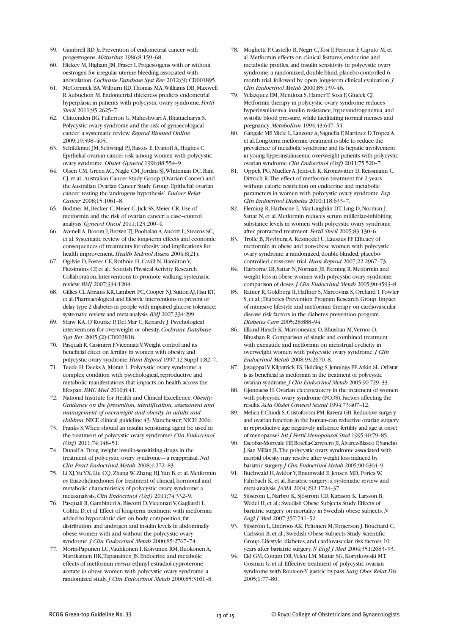- 59. Gambrell RD Jr. Prevention of endometrial cancer with progestogens. *Maturitas* 1986;8:159–68.
- 60. Hickey M, Higham JM, Fraser I. Progestogens with or without oestrogen for irregular uterine bleeding associated with anovulation. *Cochrane Database Syst Rev* 2012;(9):CD001895.
- 61. McCormick BA, Wilburn RD, Thomas MA, Williams DB, Maxwell R, Aubuchon M. Endometrial thickness predicts endometrial hyperplasia in patients with polycystic ovary syndrome. *Fertil Steril* 2011;95:2625–7.
- 62. Chittenden BG, Fullerton G, Maheshwari A, Bhattacharya S. Polycystic ovary syndrome and the risk of gynaecological cancer: a systematic review. *Reprod Biomed Online* 2009;19:398–405.
- 63. Schildkraut JM, Schwingl PJ, Bastos E, Evanoff A, Hughes C. Epithelial ovarian cancer risk among women with polycystic ovary syndrome. *Obstet Gynecol* 1996;88:554–9.
- 64. Olsen CM, Green AC, Nagle CM, Jordan SJ, Whiteman DC, Bain CJ, et al.; Australian Cancer Study Group (Ovarian Cancer) and the Australian Ovarian Cancer Study Group. Epithelial ovarian cancer: testing the 'androgens hypothesis'. *Endocr Relat Cancer* 2008;15:1061–8.
- 65. Bodmer M, Becker C, Meier C, Jick SS, Meier CR. Use of metformin and the risk of ovarian cancer: a case–control analysis. *Gynecol Oncol* 2011;123:200–4.
- 66. Avenell A, Broom J, Brown TJ, Poobalan A, Aucott L, Stearns SC, et al. Systematic review of the long-term effects and economic consequences of treatments for obesity and implications for health improvement. *Health Technol Assess* 2004;8(21).
- 67. Ogilvie D, Foster CE, Rothnie H, Cavill N, Hamilton V, Fitzsimons CF, et al.; Scottish Physical Activity Research Collaboration. Interventions to promote walking: systematic review. *BMJ* 2007;334:1204.
- 68. Gillies CL, Abrams KR, Lambert PC, Cooper NJ, Sutton AJ, Hsu RT, et al. Pharmacological and lifestyle interventions to prevent or delay type 2 diabetes in people with impaired glucose tolerance: systematic review and meta-analysis. *BMJ* 2007;334:299.
- 69. Shaw KA, O'Rourke P, Del Mar C, Kenardy J. Psychological interventions for overweight or obesity. *Cochrane Database Syst Rev* 2005;(2):CD003818.
- 70. Pasquali R, Casimirri F, Vicennati V. Weight control and its beneficial effect on fertility in women with obesity and polycystic ovary syndrome. *Hum Reprod* 1997;12 Suppl 1:82–7.
- 71. Teede H, Deeks A, Moran L. Polycystic ovary syndrome: a complex condition with psychological, reproductive and metabolic manifestations that impacts on health across the lifespan. *BMC Med* 2010;8:41.
- 72. National Institute for Health and Clinical Excellence. *Obesity: Guidance on the prevention, identification, assessment and management of overweight and obesity in adults and children*. NICE clinical guideline 43. Manchester; NICE: 2006.
- 73. Franks S. When should an insulin sensitizing agent be used in the treatment of polycystic ovary syndrome? *Clin Endocrinol (Oxf)* 2011;74:148–51.
- 74. Dunaif A. Drug insight: insulin-sensitizing drugs in the treatment of polycystic ovary syndrome—a reappraisal. *Nat Clin Pract Endocrinol Metab* 2008;4:272–83.
- 75. Li XJ, Yu YX, Liu CQ, Zhang W, Zhang HJ, Yan B, et al. Metformin *vs* thiazolidinediones for treatment of clinical, hormonal and metabolic characteristics of polycystic ovary syndrome: a meta-analysis. *Clin Endocrinol (Oxf)* 2011;74:332–9.
- 76. Pasquali R, Gambineri A, Biscotti D, Vicennati V, Gagliardi L, Colitta D, et al. Effect of long-term treatment with metformin added to hypocaloric diet on body composition, fat distribution, and androgen and insulin levels in abdominally obese women with and without the polycystic ovary syndrome. *J Clin Endocrinol Metab* 2000;85:2767–74.
- 77. Morin-Papunen LC, Vauhkonen I, Koivunen RM, Ruokonen A, Martikainen HK, Tapanainen JS. Endocrine and metabolic effects of metformin *versus* ethinyl estradiol-cyproterone acetate in obese women with polycystic ovary syndrome: a randomized study. *J Clin Endocrinol Metab* 2000;85:3161–8.
- 78. Moghetti P, Castello R, Negri C, Tosi F, Perrone F, Caputo M, et al. Metformin effects on clinical features, endocrine and metabolic profiles, and insulin sensitivity in polycystic ovary syndrome: a randomized, double-blind, placebo-controlled 6 month trial, followed by open, long-term clinical evaluation. *J Clin Endocrinol Metab* 2000;85:139–46.
- 79. Velazquez EM, Mendoza S, Hamer T, Sosa F, Glueck CJ. Metformin therapy in polycystic ovary syndrome reduces hyperinsulinemia, insulin resistance, hyperandrogenemia, and systolic blood pressure, while facilitating normal menses and pregnancy. *Metabolism* 1994;43:647–54.
- 80. Gangale MF, Miele L, Lanzone A, Sagnella F, Martinez D, Tropea A, et al. Long-term metformin treatment is able to reduce the prevalence of metabolic syndrome and its hepatic involvement in young hyperinsulinaemic overweight patients with polycystic ovarian syndrome. *Clin Endocrinol (Oxf)* 2011;75:520–7.
- 81. Oppelt PG, Mueller A, Jentsch K, Kronawitter D, Reissmann C, Dittrich R. The effect of metformin treatment for 2 years without caloric restriction on endocrine and metabolic parameters in women with polycystic ovary syndrome. *Exp Clin Endocrinol Diabetes* 2010;118:633–7.
- 82. Fleming R, Harborne L, MacLaughlin DT, Ling D, Norman J, Sattar N, et al. Metformin reduces serum müllerian-inhibiting substance levels in women with polycystic ovary syndrome after protracted treatment. *Fertil Steril* 2005;83:130–6.
- 83. Trolle B, Flyvbjerg A, Kesmodel U, Lauszus FF. Efficacy of metformin in obese and non-obese women with polycystic ovary syndrome: a randomized, double-blinded, placebocontrolled cross-over trial. *Hum Reprod* 2007;22:2967–73.
- 84. Harborne LR, Sattar N, Norman JE, Fleming R. Metformin and weight loss in obese women with polycystic ovary syndrome: comparison of doses. *J Clin Endocrinol Metab* 2005;90:4593–8.
- 85. Ratner R, Goldberg R, Haffner S, Marcovina S, Orchard T, Fowler S, et al.; Diabetes Prevention Program Research Group. Impact of intensive lifestyle and metformin therapy on cardiovascular disease risk factors in the diabetes prevention program. *Diabetes Care* 2005;28:888–94.
- 86. Elkind-Hirsch K, Marrioneaux O, Bhushan M, Vernor D, Bhushan R. Comparison of single and combined treatment with exenatide and metformin on menstrual cyclicity in overweight women with polycystic ovary syndrome. *J Clin Endocrinol Metab* 2008;93:2670–8.
- 87. Jayagopal V, Kilpatrick ES, Holding S, Jennings PE, Atkin SL. Orlistat is as beneficial as metformin in the treatment of polycystic ovarian syndrome. *J Clin Endocrinol Metab* 2005;90:729–33.
- 88. Gjønnaess H. Ovarian electrocautery in the treatment of women with polycystic ovary syndrome (PCOS). Factors affecting the results. *Acta Obstet Gynecol Scand* 1994;73:407–12.
- 89. Melica F, Chiodi S, Cristoforoni PM, Ravera GB. Reductive surgery and ovarian function in the human-can reductive ovarian surgery in reproductive age negatively influence fertility and age at onset of menopause? *Int J Fertil Menopausal Stud* 1995;40:79–85.
- 90. Escobar-Morreale HF, Botella-Carretero JI, Álvarez-Blasco F, Sancho J, San Millán JL. The polycystic ovary syndrome associated with morbid obesity may resolve after weight loss induced by bariatric surgery. *J Clin Endocrinol Metab* 2005;90:6364–9.
- 91. Buchwald H, Avidor Y, Braunwald E, Jensen MD, Pories W, Fahrbach K, et al. Bariatric surgery: a systematic review and meta-analysis. *JAMA* 2004;292:1724–37.
- 92. Sjöström L, Narbro K, Sjöström CD, Karason K, Larsson B, Wedel H, et al.; Swedish Obese Subjects Study. Effects of bariatric surgery on mortality in Swedish obese subjects. *N Engl J Med* 2007;357:741–52.
- 93. Sjöström L, Lindroos AK, Peltonen M, Torgerson J, Bouchard C, Carlsson B, et al.; Swedish Obese Subjects Study Scientific Group. Lifestyle, diabetes, and cardiovascular risk factors 10 years after bariatric surgery. *N Engl J Med* 2004;351:2683–93.
- 94. Eid GM, Cottam DR, Velcu LM, Mattar SG, Korytkowski MT, Gosman G, et al. Effective treatment of polycystic ovarian syndrome with Roux-en-Y gastric bypass. *Surg Obes Relat Dis* 2005;1:77–80.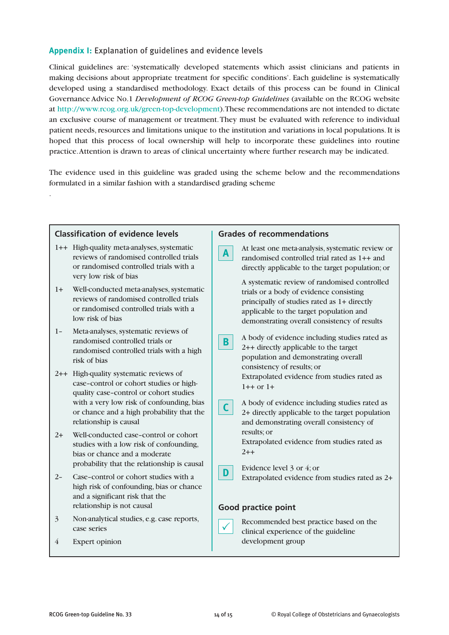# **Appendix I:** Explanation of guidelines and evidence levels

Clinical guidelines are: 'systematically developed statements which assist clinicians and patients in making decisions about appropriate treatment for specific conditions'. Each guideline is systematically developed using a standardised methodology. Exact details of this process can be found in Clinical Governance Advice No.1 *Development of RCOG Green-top Guidelines* (available on the RCOG website at http://www.rcog.org.uk/green-top-development). These recommendations are not intended to dictate an exclusive course of management or treatment. They must be evaluated with reference to individual patient needs, resources and limitations unique to the institution and variations in local populations. It is hoped that this process of local ownership will help to incorporate these guidelines into routine practice. Attention is drawn to areas of clinical uncertainty where further research may be indicated.

The evidence used in this guideline was graded using the scheme below and the recommendations formulated in a similar fashion with a standardised grading scheme



.